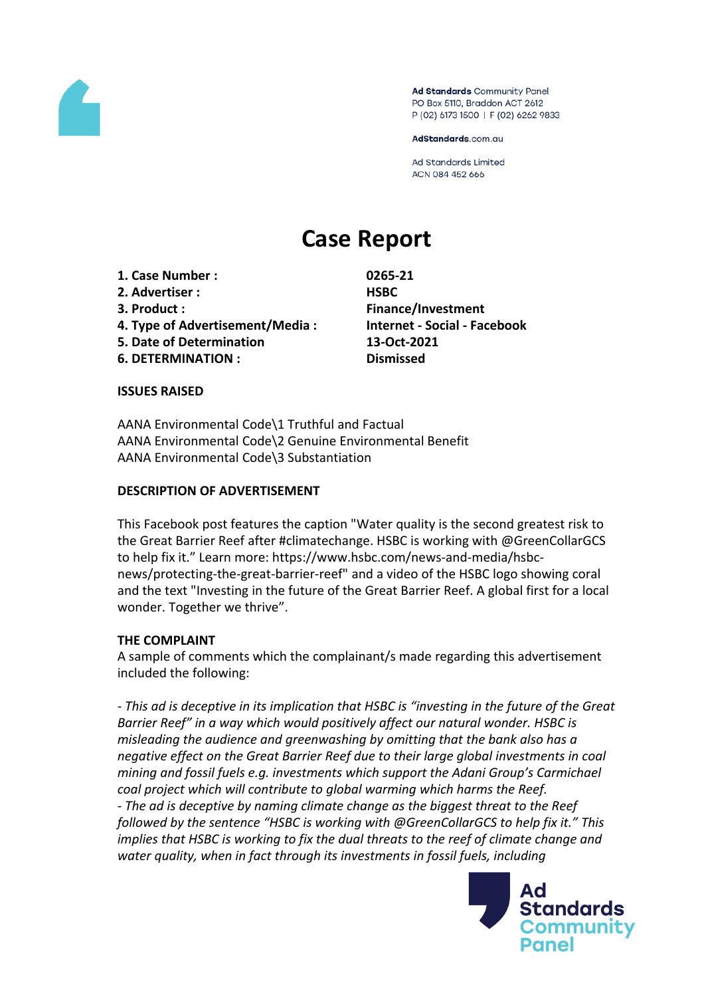

Ad Standards Community Panel PO Box 5110, Braddon ACT 2612 P (02) 6173 1500 | F (02) 6262 9833

AdStandards.com.au

**Ad Standards Limited** ACN 084 452 666

# **Case Report**

**1. Case Number : 0265-21**

- **2. Advertiser : HSBC**
- 
- **4. Type of Advertisement/Media : Internet - Social - Facebook**
- **5. Date of Determination 13-Oct-2021**
- **6. DETERMINATION : Dismissed**

**3. Product : Finance/Investment**

#### **ISSUES RAISED**

AANA Environmental Code\1 Truthful and Factual AANA Environmental Code\2 Genuine Environmental Benefit AANA Environmental Code\3 Substantiation

## **DESCRIPTION OF ADVERTISEMENT**

This Facebook post features the caption "Water quality is the second greatest risk to the Great Barrier Reef after #climatechange. HSBC is working with @GreenCollarGCS to help fix it." Learn more: https://www.hsbc.com/news-and-media/hsbcnews/protecting-the-great-barrier-reef" and a video of the HSBC logo showing coral and the text "Investing in the future of the Great Barrier Reef. A global first for a local wonder. Together we thrive".

## **THE COMPLAINT**

A sample of comments which the complainant/s made regarding this advertisement included the following:

*- This ad is deceptive in its implication that HSBC is "investing in the future of the Great Barrier Reef" in a way which would positively affect our natural wonder. HSBC is misleading the audience and greenwashing by omitting that the bank also has a negative effect on the Great Barrier Reef due to their large global investments in coal mining and fossil fuels e.g. investments which support the Adani Group's Carmichael coal project which will contribute to global warming which harms the Reef. - The ad is deceptive by naming climate change as the biggest threat to the Reef followed by the sentence "HSBC is working with @GreenCollarGCS to help fix it." This implies that HSBC is working to fix the dual threats to the reef of climate change and water quality, when in fact through its investments in fossil fuels, including*

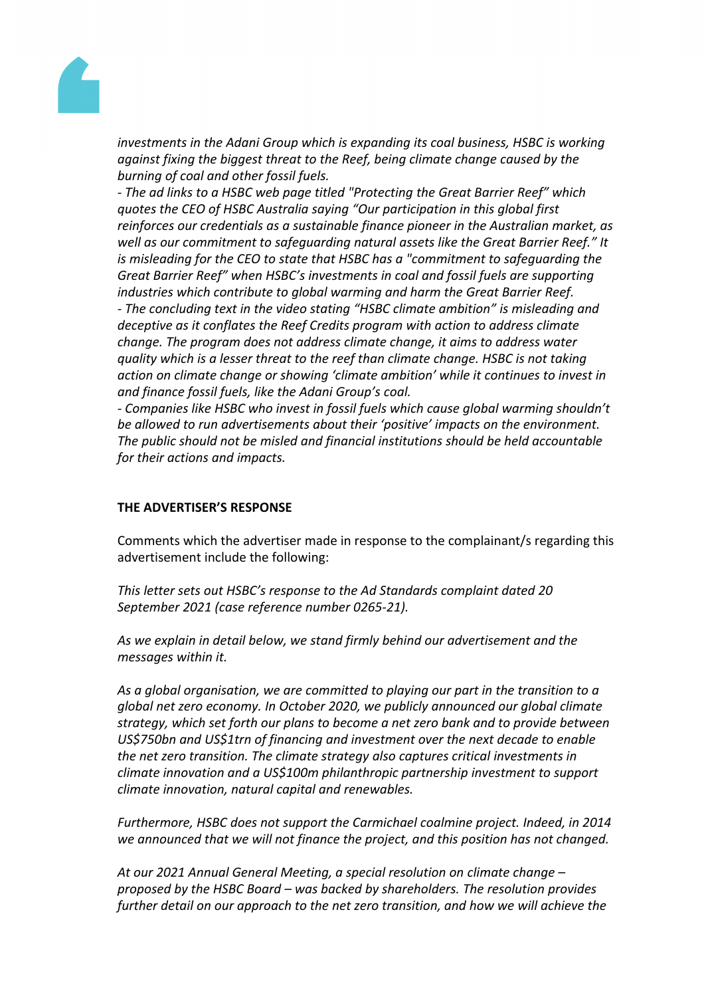

*investments in the Adani Group which is expanding its coal business, HSBC is working against fixing the biggest threat to the Reef, being climate change caused by the burning of coal and other fossil fuels.*

*- The ad links to a HSBC web page titled "Protecting the Great Barrier Reef" which quotes the CEO of HSBC Australia saying "Our participation in this global first reinforces our credentials as a sustainable finance pioneer in the Australian market, as well as our commitment to safeguarding natural assets like the Great Barrier Reef." It is misleading for the CEO to state that HSBC has a "commitment to safeguarding the Great Barrier Reef" when HSBC's investments in coal and fossil fuels are supporting industries which contribute to global warming and harm the Great Barrier Reef. - The concluding text in the video stating "HSBC climate ambition" is misleading and deceptive as it conflates the Reef Credits program with action to address climate change. The program does not address climate change, it aims to address water quality which is a lesser threat to the reef than climate change. HSBC is not taking action on climate change or showing 'climate ambition' while it continues to invest in and finance fossil fuels, like the Adani Group's coal.*

*- Companies like HSBC who invest in fossil fuels which cause global warming shouldn't be allowed to run advertisements about their 'positive' impacts on the environment. The public should not be misled and financial institutions should be held accountable for their actions and impacts.*

#### **THE ADVERTISER'S RESPONSE**

Comments which the advertiser made in response to the complainant/s regarding this advertisement include the following:

*This letter sets out HSBC's response to the Ad Standards complaint dated 20 September 2021 (case reference number 0265-21).*

*As we explain in detail below, we stand firmly behind our advertisement and the messages within it.*

*As a global organisation, we are committed to playing our part in the transition to a global net zero economy. In October 2020, we publicly announced our global climate strategy, which set forth our plans to become a net zero bank and to provide between US\$750bn and US\$1trn of financing and investment over the next decade to enable the net zero transition. The climate strategy also captures critical investments in climate innovation and a US\$100m philanthropic partnership investment to support climate innovation, natural capital and renewables.*

*Furthermore, HSBC does not support the Carmichael coalmine project. Indeed, in 2014 we announced that we will not finance the project, and this position has not changed.*

*At our 2021 Annual General Meeting, a special resolution on climate change – proposed by the HSBC Board – was backed by shareholders. The resolution provides further detail on our approach to the net zero transition, and how we will achieve the*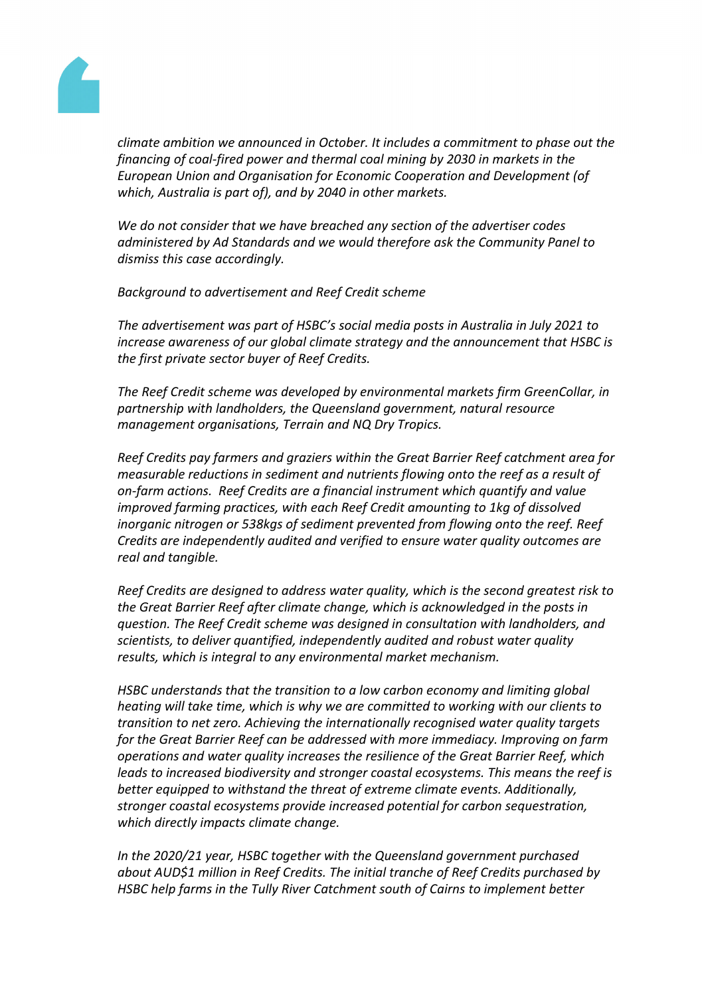

*climate ambition we announced in October. It includes a commitment to phase out the financing of coal-fired power and thermal coal mining by 2030 in markets in the European Union and Organisation for Economic Cooperation and Development (of which, Australia is part of), and by 2040 in other markets.*

*We do not consider that we have breached any section of the advertiser codes administered by Ad Standards and we would therefore ask the Community Panel to dismiss this case accordingly.*

*Background to advertisement and Reef Credit scheme*

*The advertisement was part of HSBC's social media posts in Australia in July 2021 to increase awareness of our global climate strategy and the announcement that HSBC is the first private sector buyer of Reef Credits.*

*The Reef Credit scheme was developed by environmental markets firm GreenCollar, in partnership with landholders, the Queensland government, natural resource management organisations, Terrain and NQ Dry Tropics.*

*Reef Credits pay farmers and graziers within the Great Barrier Reef catchment area for measurable reductions in sediment and nutrients flowing onto the reef as a result of on-farm actions. Reef Credits are a financial instrument which quantify and value improved farming practices, with each Reef Credit amounting to 1kg of dissolved inorganic nitrogen or 538kgs of sediment prevented from flowing onto the reef. Reef Credits are independently audited and verified to ensure water quality outcomes are real and tangible.*

*Reef Credits are designed to address water quality, which is the second greatest risk to the Great Barrier Reef after climate change, which is acknowledged in the posts in question. The Reef Credit scheme was designed in consultation with landholders, and scientists, to deliver quantified, independently audited and robust water quality results, which is integral to any environmental market mechanism.*

*HSBC understands that the transition to a low carbon economy and limiting global heating will take time, which is why we are committed to working with our clients to transition to net zero. Achieving the internationally recognised water quality targets for the Great Barrier Reef can be addressed with more immediacy. Improving on farm operations and water quality increases the resilience of the Great Barrier Reef, which leads to increased biodiversity and stronger coastal ecosystems. This means the reef is better equipped to withstand the threat of extreme climate events. Additionally, stronger coastal ecosystems provide increased potential for carbon sequestration, which directly impacts climate change.*

*In the 2020/21 year, HSBC together with the Queensland government purchased about AUD\$1 million in Reef Credits. The initial tranche of Reef Credits purchased by HSBC help farms in the Tully River Catchment south of Cairns to implement better*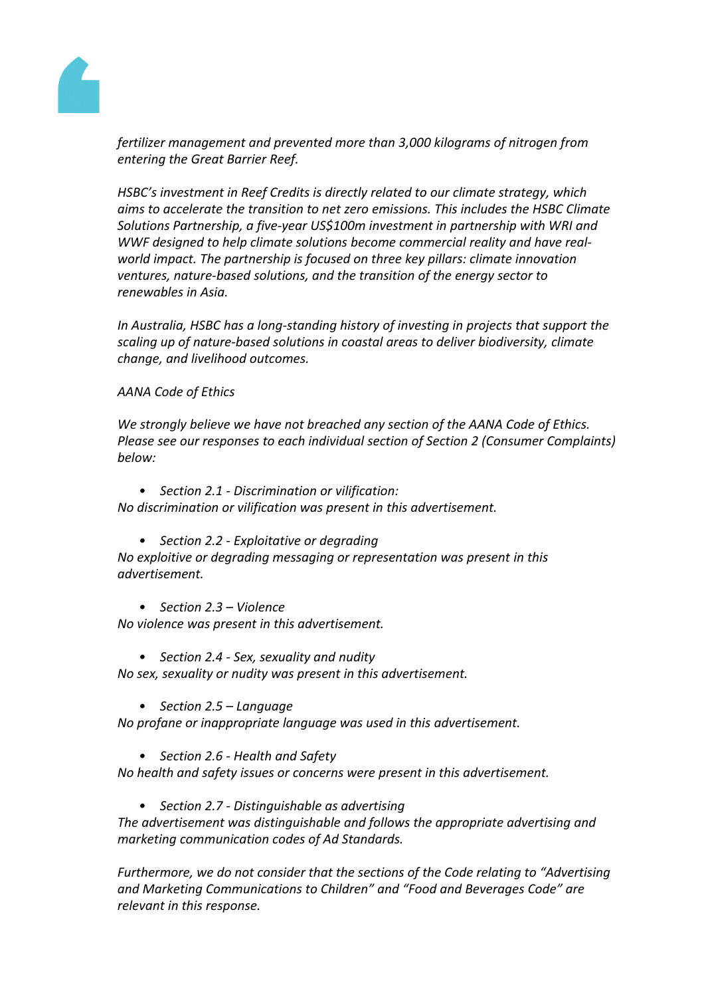

*fertilizer management and prevented more than 3,000 kilograms of nitrogen from entering the Great Barrier Reef.*

*HSBC's investment in Reef Credits is directly related to our climate strategy, which aims to accelerate the transition to net zero emissions. This includes the HSBC Climate Solutions Partnership, a five-year US\$100m investment in partnership with WRI and WWF designed to help climate solutions become commercial reality and have realworld impact. The partnership is focused on three key pillars: climate innovation ventures, nature-based solutions, and the transition of the energy sector to renewables in Asia.* 

*In Australia, HSBC has a long-standing history of investing in projects that support the scaling up of nature-based solutions in coastal areas to deliver biodiversity, climate change, and livelihood outcomes.*

## *AANA Code of Ethics*

*We strongly believe we have not breached any section of the AANA Code of Ethics. Please see our responses to each individual section of Section 2 (Consumer Complaints) below:*

*• Section 2.1 - Discrimination or vilification:*

*No discrimination or vilification was present in this advertisement.*

*• Section 2.2 - Exploitative or degrading*

*No exploitive or degrading messaging or representation was present in this advertisement.*

*• Section 2.3 – Violence*

*No violence was present in this advertisement.*

- *• Section 2.4 - Sex, sexuality and nudity No sex, sexuality or nudity was present in this advertisement.*
	- *• Section 2.5 – Language*

*No profane or inappropriate language was used in this advertisement.*

*• Section 2.6 - Health and Safety*

*No health and safety issues or concerns were present in this advertisement.*

*• Section 2.7 - Distinguishable as advertising*

*The advertisement was distinguishable and follows the appropriate advertising and marketing communication codes of Ad Standards.*

*Furthermore, we do not consider that the sections of the Code relating to "Advertising and Marketing Communications to Children" and "Food and Beverages Code" are relevant in this response.*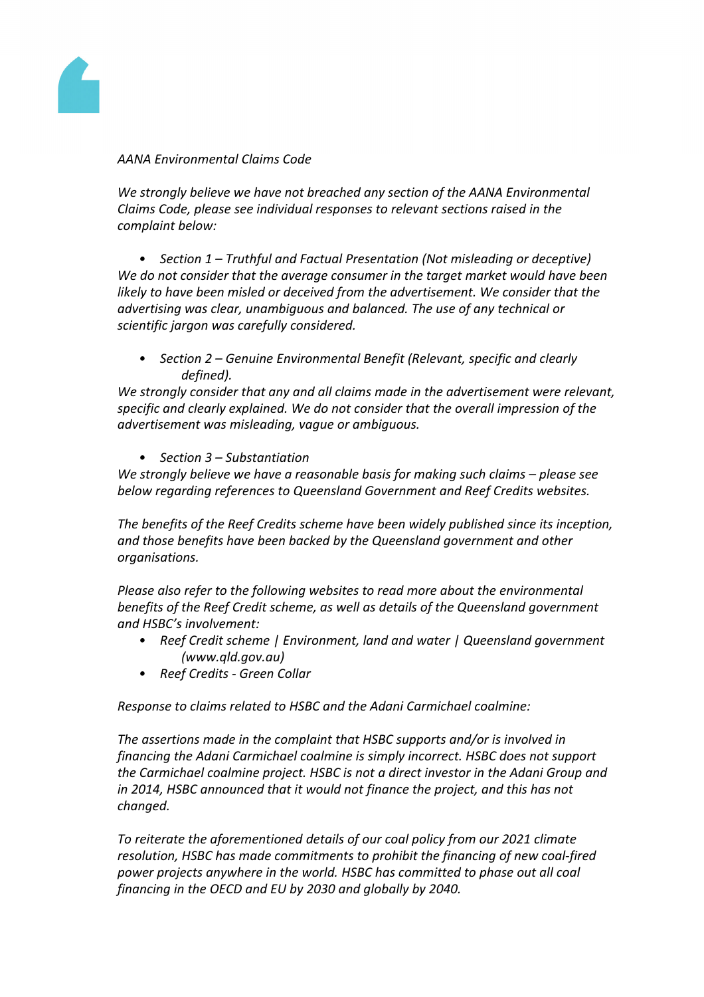

#### *AANA Environmental Claims Code*

*We strongly believe we have not breached any section of the AANA Environmental Claims Code, please see individual responses to relevant sections raised in the complaint below:*

*• Section 1 – Truthful and Factual Presentation (Not misleading or deceptive) We do not consider that the average consumer in the target market would have been likely to have been misled or deceived from the advertisement. We consider that the advertising was clear, unambiguous and balanced. The use of any technical or scientific jargon was carefully considered.*

*• Section 2 – Genuine Environmental Benefit (Relevant, specific and clearly defined).*

*We strongly consider that any and all claims made in the advertisement were relevant, specific and clearly explained. We do not consider that the overall impression of the advertisement was misleading, vague or ambiguous.*

*• Section 3 – Substantiation*

*We strongly believe we have a reasonable basis for making such claims – please see below regarding references to Queensland Government and Reef Credits websites.*

*The benefits of the Reef Credits scheme have been widely published since its inception, and those benefits have been backed by the Queensland government and other organisations.*

*Please also refer to the following websites to read more about the environmental benefits of the Reef Credit scheme, as well as details of the Queensland government and HSBC's involvement:*

- *• Reef Credit scheme | Environment, land and water | Queensland government (www.qld.gov.au)*
- *• Reef Credits - Green Collar*

*Response to claims related to HSBC and the Adani Carmichael coalmine:*

*The assertions made in the complaint that HSBC supports and/or is involved in financing the Adani Carmichael coalmine is simply incorrect. HSBC does not support the Carmichael coalmine project. HSBC is not a direct investor in the Adani Group and in 2014, HSBC announced that it would not finance the project, and this has not changed.*

*To reiterate the aforementioned details of our coal policy from our 2021 climate resolution, HSBC has made commitments to prohibit the financing of new coal-fired power projects anywhere in the world. HSBC has committed to phase out all coal financing in the OECD and EU by 2030 and globally by 2040.*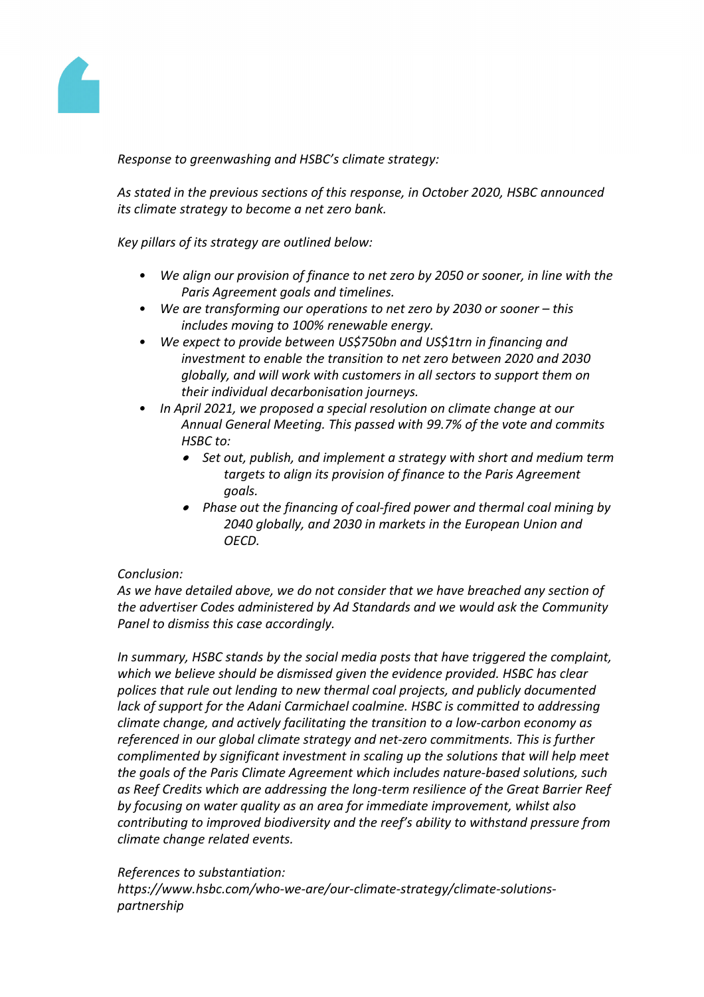

*Response to greenwashing and HSBC's climate strategy:*

*As stated in the previous sections of this response, in October 2020, HSBC announced its climate strategy to become a net zero bank.*

*Key pillars of its strategy are outlined below:*

- *• We align our provision of finance to net zero by 2050 or sooner, in line with the Paris Agreement goals and timelines.*
- *• We are transforming our operations to net zero by 2030 or sooner – this includes moving to 100% renewable energy.*
- *• We expect to provide between US\$750bn and US\$1trn in financing and investment to enable the transition to net zero between 2020 and 2030 globally, and will work with customers in all sectors to support them on their individual decarbonisation journeys.*
- *• In April 2021, we proposed a special resolution on climate change at our Annual General Meeting. This passed with 99.7% of the vote and commits HSBC to:*
	- *Set out, publish, and implement a strategy with short and medium term targets to align its provision of finance to the Paris Agreement goals.*
	- *Phase out the financing of coal-fired power and thermal coal mining by 2040 globally, and 2030 in markets in the European Union and OECD.*

#### *Conclusion:*

*As we have detailed above, we do not consider that we have breached any section of the advertiser Codes administered by Ad Standards and we would ask the Community Panel to dismiss this case accordingly.*

*In summary, HSBC stands by the social media posts that have triggered the complaint, which we believe should be dismissed given the evidence provided. HSBC has clear polices that rule out lending to new thermal coal projects, and publicly documented lack of support for the Adani Carmichael coalmine. HSBC is committed to addressing climate change, and actively facilitating the transition to a low-carbon economy as referenced in our global climate strategy and net-zero commitments. This is further complimented by significant investment in scaling up the solutions that will help meet the goals of the Paris Climate Agreement which includes nature-based solutions, such as Reef Credits which are addressing the long-term resilience of the Great Barrier Reef by focusing on water quality as an area for immediate improvement, whilst also contributing to improved biodiversity and the reef's ability to withstand pressure from climate change related events.*

#### *References to substantiation:*

*https://www.hsbc.com/who-we-are/our-climate-strategy/climate-solutionspartnership*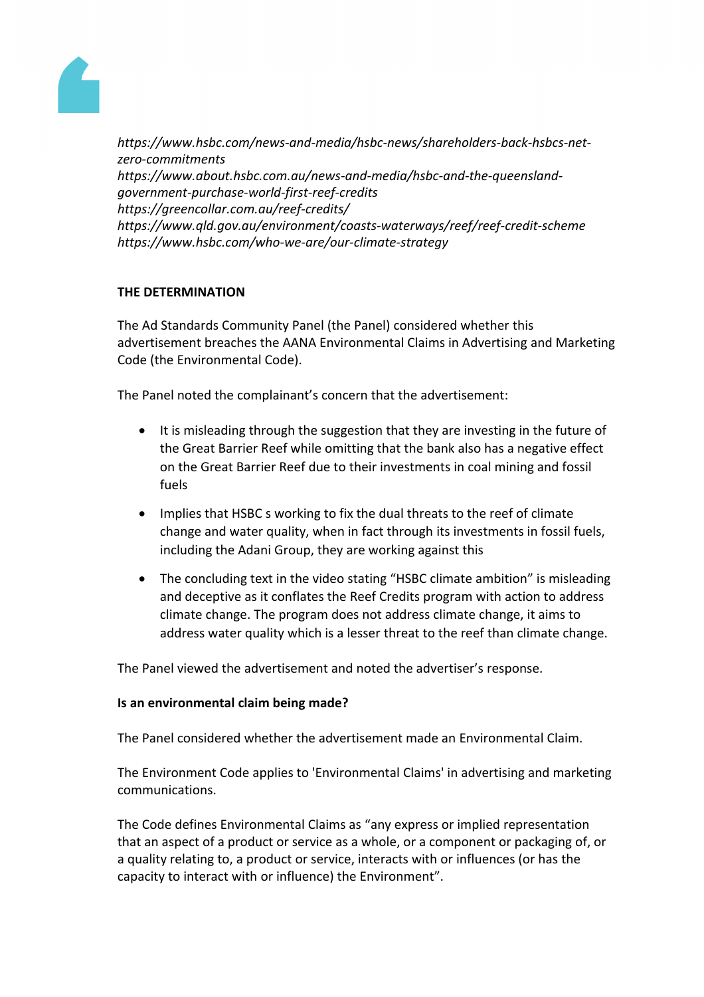

*https://www.hsbc.com/news-and-media/hsbc-news/shareholders-back-hsbcs-netzero-commitments https://www.about.hsbc.com.au/news-and-media/hsbc-and-the-queenslandgovernment-purchase-world-first-reef-credits https://greencollar.com.au/reef-credits/ https://www.qld.gov.au/environment/coasts-waterways/reef/reef-credit-scheme https://www.hsbc.com/who-we-are/our-climate-strategy*

## **THE DETERMINATION**

The Ad Standards Community Panel (the Panel) considered whether this advertisement breaches the AANA Environmental Claims in Advertising and Marketing Code (the Environmental Code).

The Panel noted the complainant's concern that the advertisement:

- It is misleading through the suggestion that they are investing in the future of the Great Barrier Reef while omitting that the bank also has a negative effect on the Great Barrier Reef due to their investments in coal mining and fossil fuels
- Implies that HSBC s working to fix the dual threats to the reef of climate change and water quality, when in fact through its investments in fossil fuels, including the Adani Group, they are working against this
- The concluding text in the video stating "HSBC climate ambition" is misleading and deceptive as it conflates the Reef Credits program with action to address climate change. The program does not address climate change, it aims to address water quality which is a lesser threat to the reef than climate change.

The Panel viewed the advertisement and noted the advertiser's response.

#### **Is an environmental claim being made?**

The Panel considered whether the advertisement made an Environmental Claim.

The Environment Code applies to 'Environmental Claims' in advertising and marketing communications.

The Code defines Environmental Claims as "any express or implied representation that an aspect of a product or service as a whole, or a component or packaging of, or a quality relating to, a product or service, interacts with or influences (or has the capacity to interact with or influence) the Environment".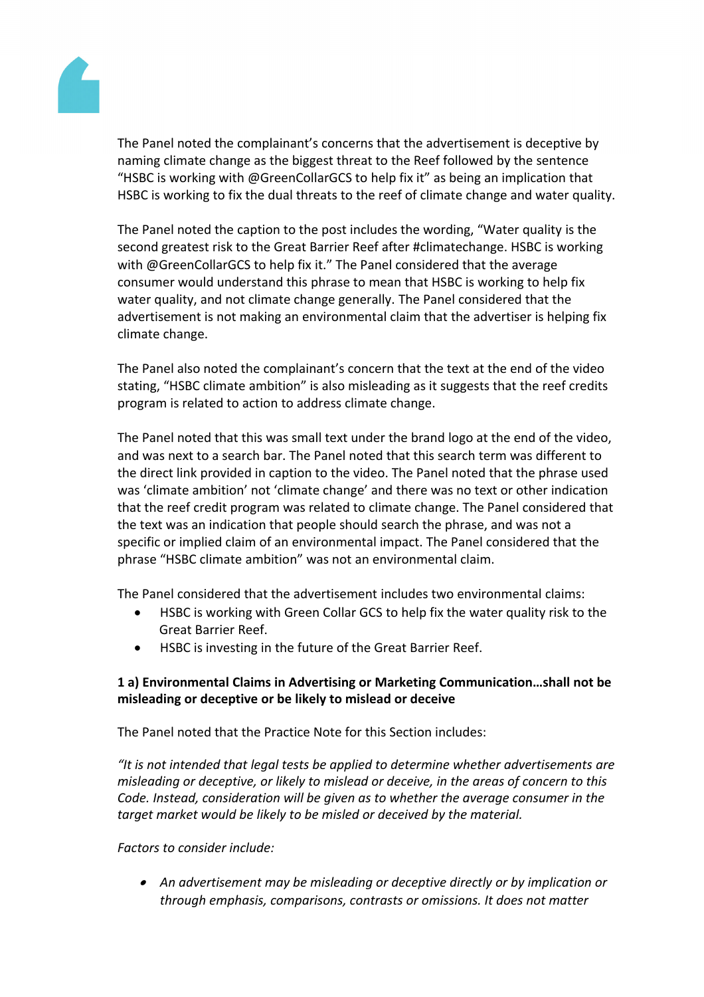

The Panel noted the complainant's concerns that the advertisement is deceptive by naming climate change as the biggest threat to the Reef followed by the sentence "HSBC is working with @GreenCollarGCS to help fix it" as being an implication that HSBC is working to fix the dual threats to the reef of climate change and water quality.

The Panel noted the caption to the post includes the wording, "Water quality is the second greatest risk to the Great Barrier Reef after #climatechange. HSBC is working with @GreenCollarGCS to help fix it." The Panel considered that the average consumer would understand this phrase to mean that HSBC is working to help fix water quality, and not climate change generally. The Panel considered that the advertisement is not making an environmental claim that the advertiser is helping fix climate change.

The Panel also noted the complainant's concern that the text at the end of the video stating, "HSBC climate ambition" is also misleading as it suggests that the reef credits program is related to action to address climate change.

The Panel noted that this was small text under the brand logo at the end of the video, and was next to a search bar. The Panel noted that this search term was different to the direct link provided in caption to the video. The Panel noted that the phrase used was 'climate ambition' not 'climate change' and there was no text or other indication that the reef credit program was related to climate change. The Panel considered that the text was an indication that people should search the phrase, and was not a specific or implied claim of an environmental impact. The Panel considered that the phrase "HSBC climate ambition" was not an environmental claim.

The Panel considered that the advertisement includes two environmental claims:

- HSBC is working with Green Collar GCS to help fix the water quality risk to the Great Barrier Reef.
- HSBC is investing in the future of the Great Barrier Reef.

## **1 a) Environmental Claims in Advertising or Marketing Communication…shall not be misleading or deceptive or be likely to mislead or deceive**

The Panel noted that the Practice Note for this Section includes:

*"It is not intended that legal tests be applied to determine whether advertisements are misleading or deceptive, or likely to mislead or deceive, in the areas of concern to this Code. Instead, consideration will be given as to whether the average consumer in the target market would be likely to be misled or deceived by the material.*

*Factors to consider include:*

 *An advertisement may be misleading or deceptive directly or by implication or through emphasis, comparisons, contrasts or omissions. It does not matter*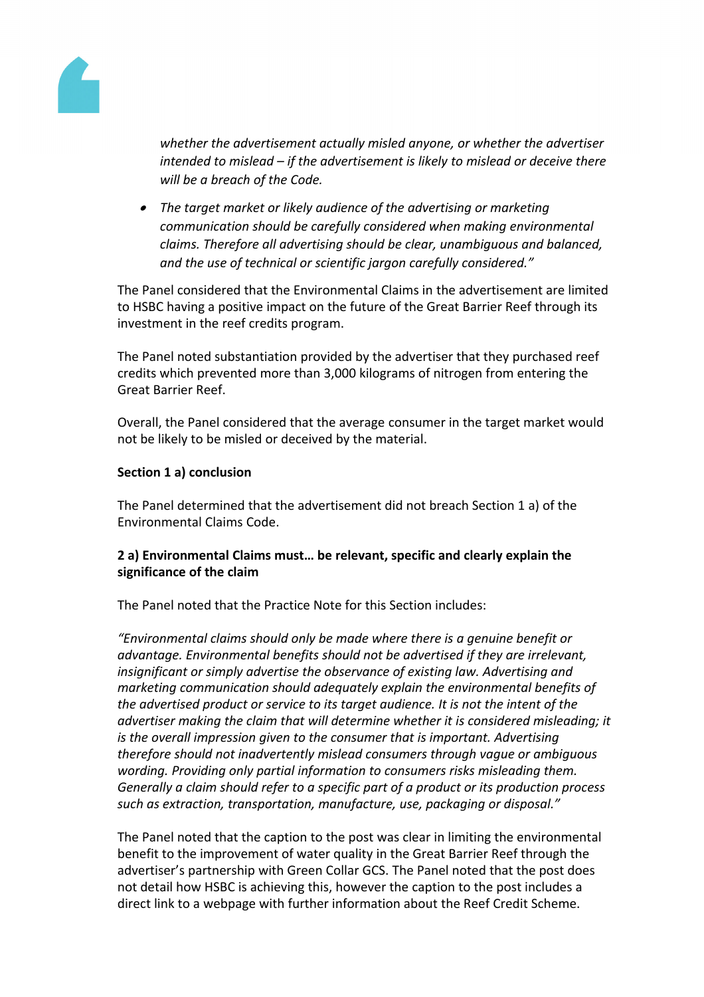

*whether the advertisement actually misled anyone, or whether the advertiser intended to mislead – if the advertisement is likely to mislead or deceive there will be a breach of the Code.*

 *The target market or likely audience of the advertising or marketing communication should be carefully considered when making environmental claims. Therefore all advertising should be clear, unambiguous and balanced, and the use of technical or scientific jargon carefully considered."*

The Panel considered that the Environmental Claims in the advertisement are limited to HSBC having a positive impact on the future of the Great Barrier Reef through its investment in the reef credits program.

The Panel noted substantiation provided by the advertiser that they purchased reef credits which prevented more than 3,000 kilograms of nitrogen from entering the Great Barrier Reef.

Overall, the Panel considered that the average consumer in the target market would not be likely to be misled or deceived by the material.

## **Section 1 a) conclusion**

The Panel determined that the advertisement did not breach Section 1 a) of the Environmental Claims Code.

## **2 a) Environmental Claims must… be relevant, specific and clearly explain the significance of the claim**

The Panel noted that the Practice Note for this Section includes:

*"Environmental claims should only be made where there is a genuine benefit or advantage. Environmental benefits should not be advertised if they are irrelevant, insignificant or simply advertise the observance of existing law. Advertising and marketing communication should adequately explain the environmental benefits of the advertised product or service to its target audience. It is not the intent of the advertiser making the claim that will determine whether it is considered misleading; it is the overall impression given to the consumer that is important. Advertising therefore should not inadvertently mislead consumers through vague or ambiguous wording. Providing only partial information to consumers risks misleading them. Generally a claim should refer to a specific part of a product or its production process such as extraction, transportation, manufacture, use, packaging or disposal."*

The Panel noted that the caption to the post was clear in limiting the environmental benefit to the improvement of water quality in the Great Barrier Reef through the advertiser's partnership with Green Collar GCS. The Panel noted that the post does not detail how HSBC is achieving this, however the caption to the post includes a direct link to a webpage with further information about the Reef Credit Scheme.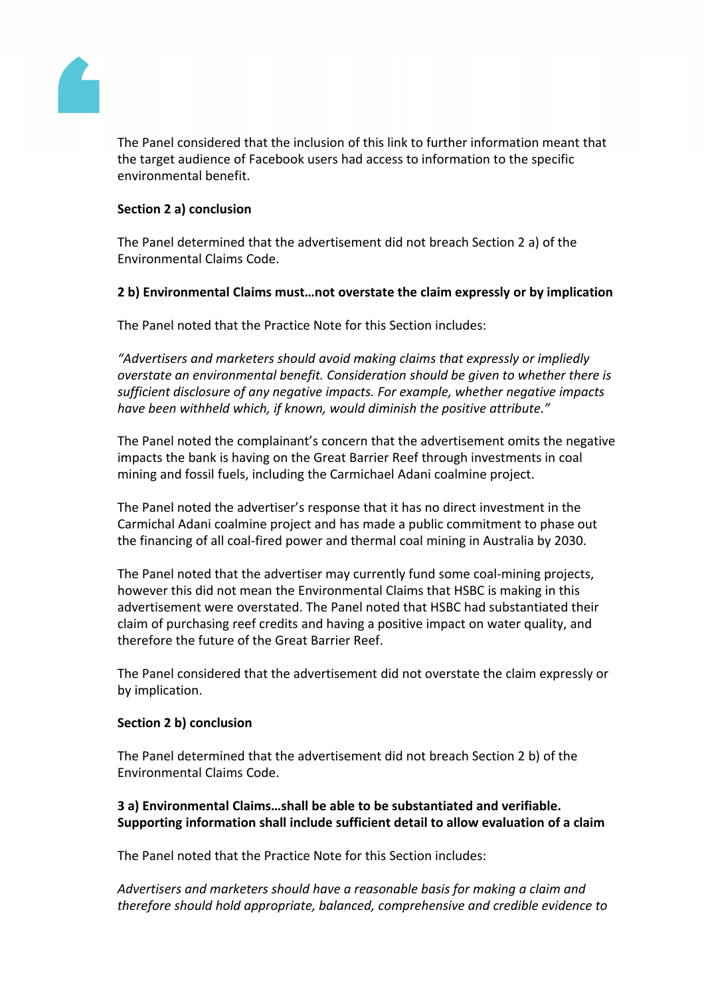

The Panel considered that the inclusion of this link to further information meant that the target audience of Facebook users had access to information to the specific environmental benefit.

## **Section 2 a) conclusion**

The Panel determined that the advertisement did not breach Section 2 a) of the Environmental Claims Code.

#### **2 b) Environmental Claims must…not overstate the claim expressly or by implication**

The Panel noted that the Practice Note for this Section includes:

*"Advertisers and marketers should avoid making claims that expressly or impliedly overstate an environmental benefit. Consideration should be given to whether there is sufficient disclosure of any negative impacts. For example, whether negative impacts have been withheld which, if known, would diminish the positive attribute."*

The Panel noted the complainant's concern that the advertisement omits the negative impacts the bank is having on the Great Barrier Reef through investments in coal mining and fossil fuels, including the Carmichael Adani coalmine project.

The Panel noted the advertiser's response that it has no direct investment in the Carmichal Adani coalmine project and has made a public commitment to phase out the financing of all coal-fired power and thermal coal mining in Australia by 2030.

The Panel noted that the advertiser may currently fund some coal-mining projects, however this did not mean the Environmental Claims that HSBC is making in this advertisement were overstated. The Panel noted that HSBC had substantiated their claim of purchasing reef credits and having a positive impact on water quality, and therefore the future of the Great Barrier Reef.

The Panel considered that the advertisement did not overstate the claim expressly or by implication.

#### **Section 2 b) conclusion**

The Panel determined that the advertisement did not breach Section 2 b) of the Environmental Claims Code.

## **3 a) Environmental Claims…shall be able to be substantiated and verifiable. Supporting information shall include sufficient detail to allow evaluation of a claim**

The Panel noted that the Practice Note for this Section includes:

*Advertisers and marketers should have a reasonable basis for making a claim and therefore should hold appropriate, balanced, comprehensive and credible evidence to*